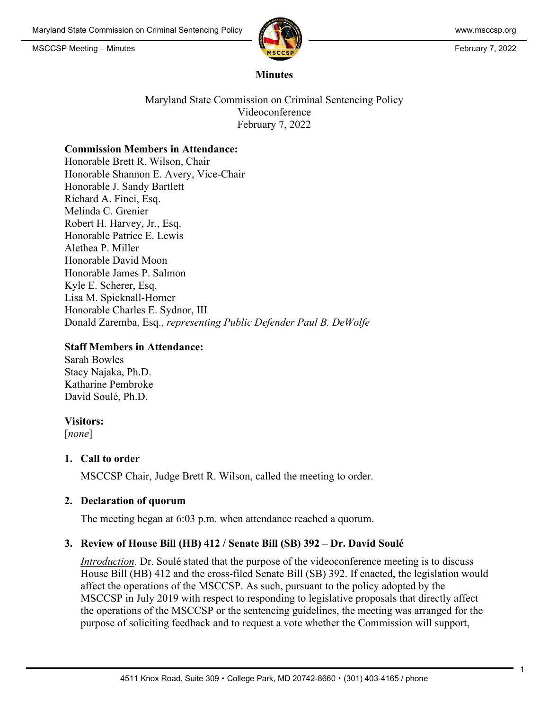

#### **Minutes**

Maryland State Commission on Criminal Sentencing Policy Videoconference February 7, 2022

#### **Commission Members in Attendance:**

Honorable Brett R. Wilson, Chair Honorable Shannon E. Avery, Vice-Chair Honorable J. Sandy Bartlett Richard A. Finci, Esq. Melinda C. Grenier Robert H. Harvey, Jr., Esq. Honorable Patrice E. Lewis Alethea P. Miller Honorable David Moon Honorable James P. Salmon Kyle E. Scherer, Esq. Lisa M. Spicknall-Horner Honorable Charles E. Sydnor, III Donald Zaremba, Esq., *representing Public Defender Paul B. DeWolfe*

#### **Staff Members in Attendance:**

Sarah Bowles Stacy Najaka, Ph.D. Katharine Pembroke David Soulé, Ph.D.

#### **Visitors:**

[*none*]

## **1. Call to order**

MSCCSP Chair, Judge Brett R. Wilson, called the meeting to order.

#### **2. Declaration of quorum**

The meeting began at 6:03 p.m. when attendance reached a quorum.

## **3. Review of House Bill (HB) 412 / Senate Bill (SB) 392 – Dr. David Soulé**

*Introduction*. Dr. Soulé stated that the purpose of the videoconference meeting is to discuss House Bill (HB) 412 and the cross-filed Senate Bill (SB) 392. If enacted, the legislation would affect the operations of the MSCCSP. As such, pursuant to the policy adopted by the MSCCSP in July 2019 with respect to responding to legislative proposals that directly affect the operations of the MSCCSP or the sentencing guidelines, the meeting was arranged for the purpose of soliciting feedback and to request a vote whether the Commission will support,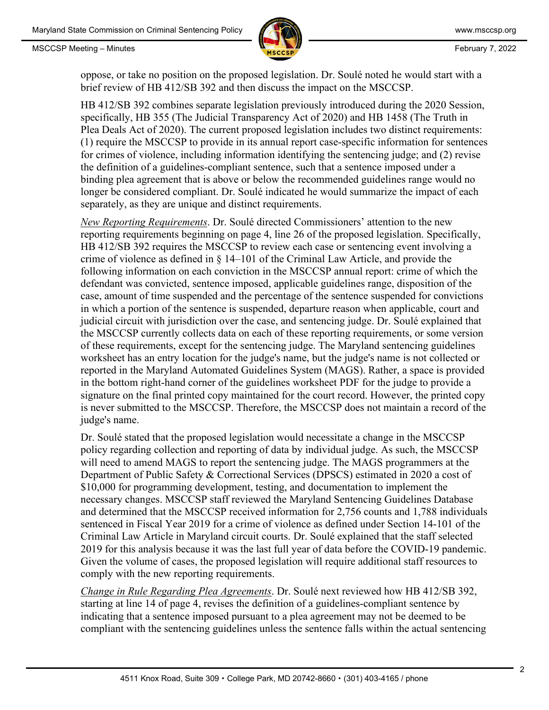

oppose, or take no position on the proposed legislation. Dr. Soulé noted he would start with a brief review of HB 412/SB 392 and then discuss the impact on the MSCCSP.

HB 412/SB 392 combines separate legislation previously introduced during the 2020 Session, specifically, HB 355 (The Judicial Transparency Act of 2020) and HB 1458 (The Truth in Plea Deals Act of 2020). The current proposed legislation includes two distinct requirements: (1) require the MSCCSP to provide in its annual report case-specific information for sentences for crimes of violence, including information identifying the sentencing judge; and (2) revise the definition of a guidelines-compliant sentence, such that a sentence imposed under a binding plea agreement that is above or below the recommended guidelines range would no longer be considered compliant. Dr. Soulé indicated he would summarize the impact of each separately, as they are unique and distinct requirements.

*New Reporting Requirements*. Dr. Soulé directed Commissioners' attention to the new reporting requirements beginning on page 4, line 26 of the proposed legislation. Specifically, HB 412/SB 392 requires the MSCCSP to review each case or sentencing event involving a crime of violence as defined in § 14–101 of the Criminal Law Article, and provide the following information on each conviction in the MSCCSP annual report: crime of which the defendant was convicted, sentence imposed, applicable guidelines range, disposition of the case, amount of time suspended and the percentage of the sentence suspended for convictions in which a portion of the sentence is suspended, departure reason when applicable, court and judicial circuit with jurisdiction over the case, and sentencing judge. Dr. Soulé explained that the MSCCSP currently collects data on each of these reporting requirements, or some version of these requirements, except for the sentencing judge. The Maryland sentencing guidelines worksheet has an entry location for the judge's name, but the judge's name is not collected or reported in the Maryland Automated Guidelines System (MAGS). Rather, a space is provided in the bottom right-hand corner of the guidelines worksheet PDF for the judge to provide a signature on the final printed copy maintained for the court record. However, the printed copy is never submitted to the MSCCSP. Therefore, the MSCCSP does not maintain a record of the judge's name.

Dr. Soulé stated that the proposed legislation would necessitate a change in the MSCCSP policy regarding collection and reporting of data by individual judge. As such, the MSCCSP will need to amend MAGS to report the sentencing judge. The MAGS programmers at the Department of Public Safety & Correctional Services (DPSCS) estimated in 2020 a cost of \$10,000 for programming development, testing, and documentation to implement the necessary changes. MSCCSP staff reviewed the Maryland Sentencing Guidelines Database and determined that the MSCCSP received information for 2,756 counts and 1,788 individuals sentenced in Fiscal Year 2019 for a crime of violence as defined under Section 14-101 of the Criminal Law Article in Maryland circuit courts. Dr. Soulé explained that the staff selected 2019 for this analysis because it was the last full year of data before the COVID-19 pandemic. Given the volume of cases, the proposed legislation will require additional staff resources to comply with the new reporting requirements.

*Change in Rule Regarding Plea Agreements*. Dr. Soulé next reviewed how HB 412/SB 392, starting at line 14 of page 4, revises the definition of a guidelines-compliant sentence by indicating that a sentence imposed pursuant to a plea agreement may not be deemed to be compliant with the sentencing guidelines unless the sentence falls within the actual sentencing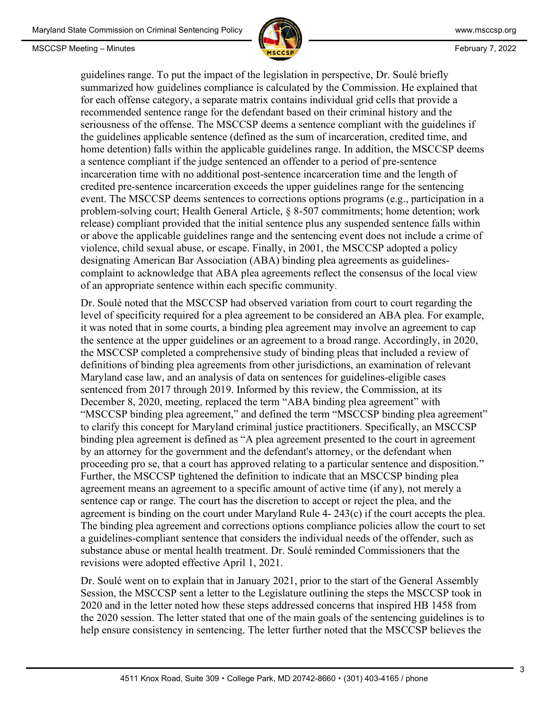

guidelines range. To put the impact of the legislation in perspective, Dr. Soulé briefly summarized how guidelines compliance is calculated by the Commission. He explained that for each offense category, a separate matrix contains individual grid cells that provide a recommended sentence range for the defendant based on their criminal history and the seriousness of the offense. The MSCCSP deems a sentence compliant with the guidelines if the guidelines applicable sentence (defined as the sum of incarceration, credited time, and home detention) falls within the applicable guidelines range. In addition, the MSCCSP deems a sentence compliant if the judge sentenced an offender to a period of pre-sentence incarceration time with no additional post-sentence incarceration time and the length of credited pre-sentence incarceration exceeds the upper guidelines range for the sentencing event. The MSCCSP deems sentences to corrections options programs (e.g., participation in a problem-solving court; Health General Article, § 8-507 commitments; home detention; work release) compliant provided that the initial sentence plus any suspended sentence falls within or above the applicable guidelines range and the sentencing event does not include a crime of violence, child sexual abuse, or escape. Finally, in 2001, the MSCCSP adopted a policy designating American Bar Association (ABA) binding plea agreements as guidelinescomplaint to acknowledge that ABA plea agreements reflect the consensus of the local view of an appropriate sentence within each specific community.

Dr. Soulé noted that the MSCCSP had observed variation from court to court regarding the level of specificity required for a plea agreement to be considered an ABA plea. For example, it was noted that in some courts, a binding plea agreement may involve an agreement to cap the sentence at the upper guidelines or an agreement to a broad range. Accordingly, in 2020, the MSCCSP completed a comprehensive study of binding pleas that included a review of definitions of binding plea agreements from other jurisdictions, an examination of relevant Maryland case law, and an analysis of data on sentences for guidelines-eligible cases sentenced from 2017 through 2019. Informed by this review, the Commission, at its December 8, 2020, meeting, replaced the term "ABA binding plea agreement" with "MSCCSP binding plea agreement," and defined the term "MSCCSP binding plea agreement" to clarify this concept for Maryland criminal justice practitioners. Specifically, an MSCCSP binding plea agreement is defined as "A plea agreement presented to the court in agreement by an attorney for the government and the defendant's attorney, or the defendant when proceeding pro se, that a court has approved relating to a particular sentence and disposition." Further, the MSCCSP tightened the definition to indicate that an MSCCSP binding plea agreement means an agreement to a specific amount of active time (if any), not merely a sentence cap or range. The court has the discretion to accept or reject the plea, and the agreement is binding on the court under Maryland Rule 4- 243(c) if the court accepts the plea. The binding plea agreement and corrections options compliance policies allow the court to set a guidelines-compliant sentence that considers the individual needs of the offender, such as substance abuse or mental health treatment. Dr. Soulé reminded Commissioners that the revisions were adopted effective April 1, 2021.

Dr. Soulé went on to explain that in January 2021, prior to the start of the General Assembly Session, the MSCCSP sent a letter to the Legislature outlining the steps the MSCCSP took in 2020 and in the letter noted how these steps addressed concerns that inspired HB 1458 from the 2020 session. The letter stated that one of the main goals of the sentencing guidelines is to help ensure consistency in sentencing. The letter further noted that the MSCCSP believes the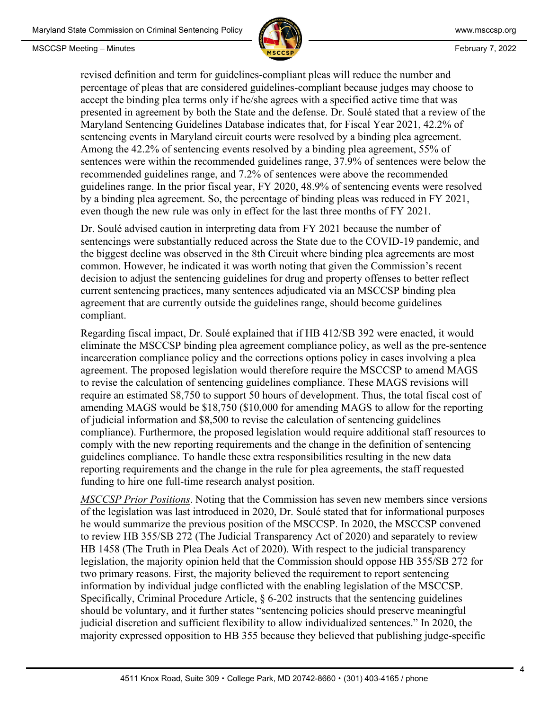

revised definition and term for guidelines-compliant pleas will reduce the number and percentage of pleas that are considered guidelines-compliant because judges may choose to accept the binding plea terms only if he/she agrees with a specified active time that was presented in agreement by both the State and the defense. Dr. Soulé stated that a review of the Maryland Sentencing Guidelines Database indicates that, for Fiscal Year 2021, 42.2% of sentencing events in Maryland circuit courts were resolved by a binding plea agreement. Among the 42.2% of sentencing events resolved by a binding plea agreement, 55% of sentences were within the recommended guidelines range, 37.9% of sentences were below the recommended guidelines range, and 7.2% of sentences were above the recommended guidelines range. In the prior fiscal year, FY 2020, 48.9% of sentencing events were resolved by a binding plea agreement. So, the percentage of binding pleas was reduced in FY 2021, even though the new rule was only in effect for the last three months of FY 2021.

Dr. Soulé advised caution in interpreting data from FY 2021 because the number of sentencings were substantially reduced across the State due to the COVID-19 pandemic, and the biggest decline was observed in the 8th Circuit where binding plea agreements are most common. However, he indicated it was worth noting that given the Commission's recent decision to adjust the sentencing guidelines for drug and property offenses to better reflect current sentencing practices, many sentences adjudicated via an MSCCSP binding plea agreement that are currently outside the guidelines range, should become guidelines compliant.

Regarding fiscal impact, Dr. Soulé explained that if HB 412/SB 392 were enacted, it would eliminate the MSCCSP binding plea agreement compliance policy, as well as the pre-sentence incarceration compliance policy and the corrections options policy in cases involving a plea agreement. The proposed legislation would therefore require the MSCCSP to amend MAGS to revise the calculation of sentencing guidelines compliance. These MAGS revisions will require an estimated \$8,750 to support 50 hours of development. Thus, the total fiscal cost of amending MAGS would be \$18,750 (\$10,000 for amending MAGS to allow for the reporting of judicial information and \$8,500 to revise the calculation of sentencing guidelines compliance). Furthermore, the proposed legislation would require additional staff resources to comply with the new reporting requirements and the change in the definition of sentencing guidelines compliance. To handle these extra responsibilities resulting in the new data reporting requirements and the change in the rule for plea agreements, the staff requested funding to hire one full-time research analyst position.

*MSCCSP Prior Positions*. Noting that the Commission has seven new members since versions of the legislation was last introduced in 2020, Dr. Soulé stated that for informational purposes he would summarize the previous position of the MSCCSP. In 2020, the MSCCSP convened to review HB 355/SB 272 (The Judicial Transparency Act of 2020) and separately to review HB 1458 (The Truth in Plea Deals Act of 2020). With respect to the judicial transparency legislation, the majority opinion held that the Commission should oppose HB 355/SB 272 for two primary reasons. First, the majority believed the requirement to report sentencing information by individual judge conflicted with the enabling legislation of the MSCCSP. Specifically, Criminal Procedure Article, § 6-202 instructs that the sentencing guidelines should be voluntary, and it further states "sentencing policies should preserve meaningful judicial discretion and sufficient flexibility to allow individualized sentences." In 2020, the majority expressed opposition to HB 355 because they believed that publishing judge-specific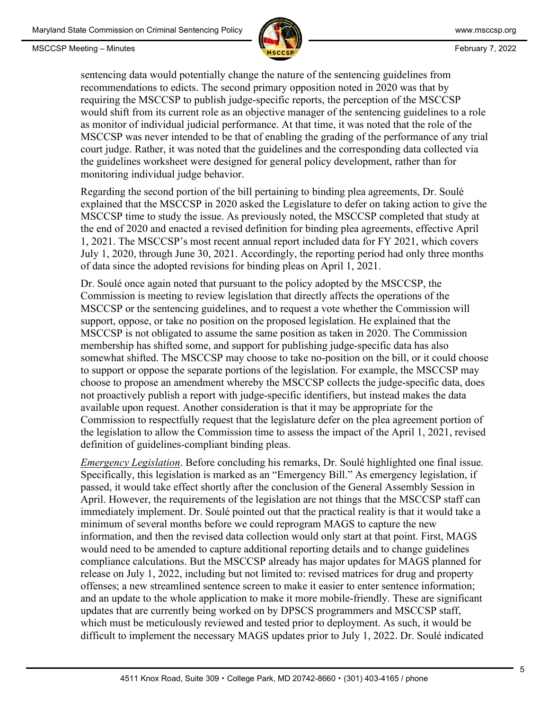

sentencing data would potentially change the nature of the sentencing guidelines from recommendations to edicts. The second primary opposition noted in 2020 was that by requiring the MSCCSP to publish judge-specific reports, the perception of the MSCCSP would shift from its current role as an objective manager of the sentencing guidelines to a role as monitor of individual judicial performance. At that time, it was noted that the role of the MSCCSP was never intended to be that of enabling the grading of the performance of any trial court judge. Rather, it was noted that the guidelines and the corresponding data collected via the guidelines worksheet were designed for general policy development, rather than for monitoring individual judge behavior.

Regarding the second portion of the bill pertaining to binding plea agreements, Dr. Soulé explained that the MSCCSP in 2020 asked the Legislature to defer on taking action to give the MSCCSP time to study the issue. As previously noted, the MSCCSP completed that study at the end of 2020 and enacted a revised definition for binding plea agreements, effective April 1, 2021. The MSCCSP's most recent annual report included data for FY 2021, which covers July 1, 2020, through June 30, 2021. Accordingly, the reporting period had only three months of data since the adopted revisions for binding pleas on April 1, 2021.

Dr. Soulé once again noted that pursuant to the policy adopted by the MSCCSP, the Commission is meeting to review legislation that directly affects the operations of the MSCCSP or the sentencing guidelines, and to request a vote whether the Commission will support, oppose, or take no position on the proposed legislation. He explained that the MSCCSP is not obligated to assume the same position as taken in 2020. The Commission membership has shifted some, and support for publishing judge-specific data has also somewhat shifted. The MSCCSP may choose to take no-position on the bill, or it could choose to support or oppose the separate portions of the legislation. For example, the MSCCSP may choose to propose an amendment whereby the MSCCSP collects the judge-specific data, does not proactively publish a report with judge-specific identifiers, but instead makes the data available upon request. Another consideration is that it may be appropriate for the Commission to respectfully request that the legislature defer on the plea agreement portion of the legislation to allow the Commission time to assess the impact of the April 1, 2021, revised definition of guidelines-compliant binding pleas.

*Emergency Legislation*. Before concluding his remarks, Dr. Soulé highlighted one final issue. Specifically, this legislation is marked as an "Emergency Bill." As emergency legislation, if passed, it would take effect shortly after the conclusion of the General Assembly Session in April. However, the requirements of the legislation are not things that the MSCCSP staff can immediately implement. Dr. Soulé pointed out that the practical reality is that it would take a minimum of several months before we could reprogram MAGS to capture the new information, and then the revised data collection would only start at that point. First, MAGS would need to be amended to capture additional reporting details and to change guidelines compliance calculations. But the MSCCSP already has major updates for MAGS planned for release on July 1, 2022, including but not limited to: revised matrices for drug and property offenses; a new streamlined sentence screen to make it easier to enter sentence information; and an update to the whole application to make it more mobile-friendly. These are significant updates that are currently being worked on by DPSCS programmers and MSCCSP staff, which must be meticulously reviewed and tested prior to deployment. As such, it would be difficult to implement the necessary MAGS updates prior to July 1, 2022. Dr. Soulé indicated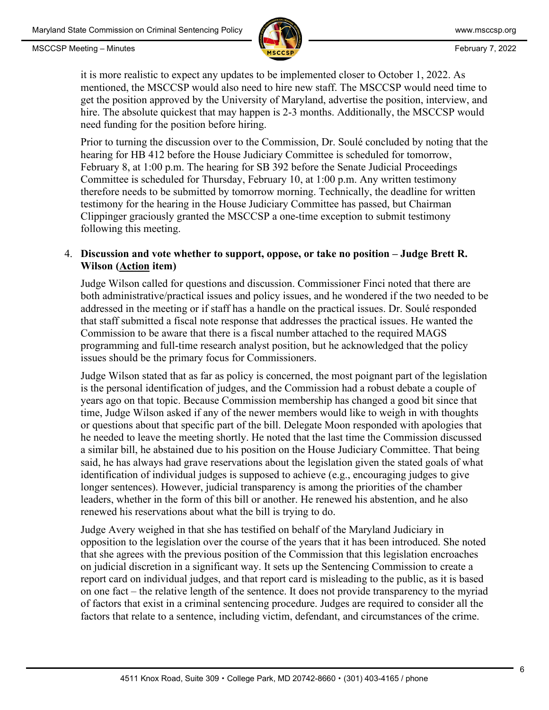

it is more realistic to expect any updates to be implemented closer to October 1, 2022. As mentioned, the MSCCSP would also need to hire new staff. The MSCCSP would need time to get the position approved by the University of Maryland, advertise the position, interview, and hire. The absolute quickest that may happen is 2-3 months. Additionally, the MSCCSP would need funding for the position before hiring.

Prior to turning the discussion over to the Commission, Dr. Soulé concluded by noting that the hearing for HB 412 before the House Judiciary Committee is scheduled for tomorrow, February 8, at 1:00 p.m. The hearing for SB 392 before the Senate Judicial Proceedings Committee is scheduled for Thursday, February 10, at 1:00 p.m. Any written testimony therefore needs to be submitted by tomorrow morning. Technically, the deadline for written testimony for the hearing in the House Judiciary Committee has passed, but Chairman Clippinger graciously granted the MSCCSP a one-time exception to submit testimony following this meeting.

## 4. **Discussion and vote whether to support, oppose, or take no position – Judge Brett R. Wilson (Action item)**

Judge Wilson called for questions and discussion. Commissioner Finci noted that there are both administrative/practical issues and policy issues, and he wondered if the two needed to be addressed in the meeting or if staff has a handle on the practical issues. Dr. Soulé responded that staff submitted a fiscal note response that addresses the practical issues. He wanted the Commission to be aware that there is a fiscal number attached to the required MAGS programming and full-time research analyst position, but he acknowledged that the policy issues should be the primary focus for Commissioners.

Judge Wilson stated that as far as policy is concerned, the most poignant part of the legislation is the personal identification of judges, and the Commission had a robust debate a couple of years ago on that topic. Because Commission membership has changed a good bit since that time, Judge Wilson asked if any of the newer members would like to weigh in with thoughts or questions about that specific part of the bill. Delegate Moon responded with apologies that he needed to leave the meeting shortly. He noted that the last time the Commission discussed a similar bill, he abstained due to his position on the House Judiciary Committee. That being said, he has always had grave reservations about the legislation given the stated goals of what identification of individual judges is supposed to achieve (e.g., encouraging judges to give longer sentences). However, judicial transparency is among the priorities of the chamber leaders, whether in the form of this bill or another. He renewed his abstention, and he also renewed his reservations about what the bill is trying to do.

Judge Avery weighed in that she has testified on behalf of the Maryland Judiciary in opposition to the legislation over the course of the years that it has been introduced. She noted that she agrees with the previous position of the Commission that this legislation encroaches on judicial discretion in a significant way. It sets up the Sentencing Commission to create a report card on individual judges, and that report card is misleading to the public, as it is based on one fact – the relative length of the sentence. It does not provide transparency to the myriad of factors that exist in a criminal sentencing procedure. Judges are required to consider all the factors that relate to a sentence, including victim, defendant, and circumstances of the crime.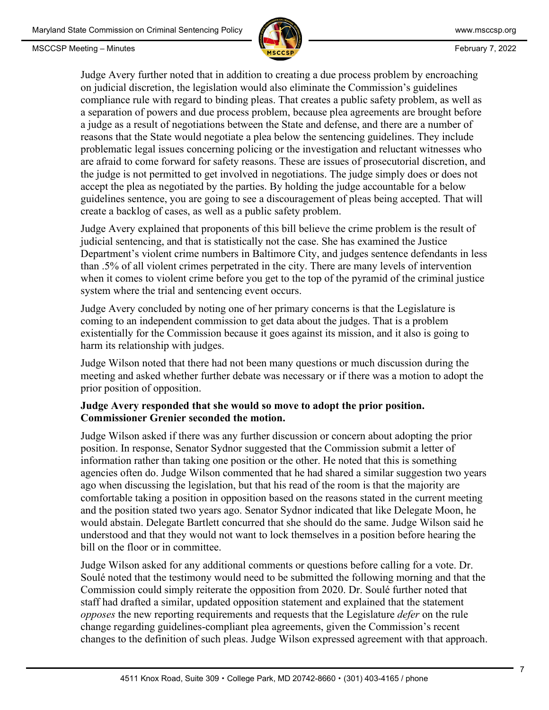



Judge Avery further noted that in addition to creating a due process problem by encroaching on judicial discretion, the legislation would also eliminate the Commission's guidelines compliance rule with regard to binding pleas. That creates a public safety problem, as well as a separation of powers and due process problem, because plea agreements are brought before a judge as a result of negotiations between the State and defense, and there are a number of reasons that the State would negotiate a plea below the sentencing guidelines. They include problematic legal issues concerning policing or the investigation and reluctant witnesses who are afraid to come forward for safety reasons. These are issues of prosecutorial discretion, and the judge is not permitted to get involved in negotiations. The judge simply does or does not accept the plea as negotiated by the parties. By holding the judge accountable for a below guidelines sentence, you are going to see a discouragement of pleas being accepted. That will create a backlog of cases, as well as a public safety problem.

Judge Avery explained that proponents of this bill believe the crime problem is the result of judicial sentencing, and that is statistically not the case. She has examined the Justice Department's violent crime numbers in Baltimore City, and judges sentence defendants in less than .5% of all violent crimes perpetrated in the city. There are many levels of intervention when it comes to violent crime before you get to the top of the pyramid of the criminal justice system where the trial and sentencing event occurs.

Judge Avery concluded by noting one of her primary concerns is that the Legislature is coming to an independent commission to get data about the judges. That is a problem existentially for the Commission because it goes against its mission, and it also is going to harm its relationship with judges.

Judge Wilson noted that there had not been many questions or much discussion during the meeting and asked whether further debate was necessary or if there was a motion to adopt the prior position of opposition.

### **Judge Avery responded that she would so move to adopt the prior position. Commissioner Grenier seconded the motion.**

Judge Wilson asked if there was any further discussion or concern about adopting the prior position. In response, Senator Sydnor suggested that the Commission submit a letter of information rather than taking one position or the other. He noted that this is something agencies often do. Judge Wilson commented that he had shared a similar suggestion two years ago when discussing the legislation, but that his read of the room is that the majority are comfortable taking a position in opposition based on the reasons stated in the current meeting and the position stated two years ago. Senator Sydnor indicated that like Delegate Moon, he would abstain. Delegate Bartlett concurred that she should do the same. Judge Wilson said he understood and that they would not want to lock themselves in a position before hearing the bill on the floor or in committee.

Judge Wilson asked for any additional comments or questions before calling for a vote. Dr. Soulé noted that the testimony would need to be submitted the following morning and that the Commission could simply reiterate the opposition from 2020. Dr. Soulé further noted that staff had drafted a similar, updated opposition statement and explained that the statement *opposes* the new reporting requirements and requests that the Legislature *defer* on the rule change regarding guidelines-compliant plea agreements, given the Commission's recent changes to the definition of such pleas. Judge Wilson expressed agreement with that approach.